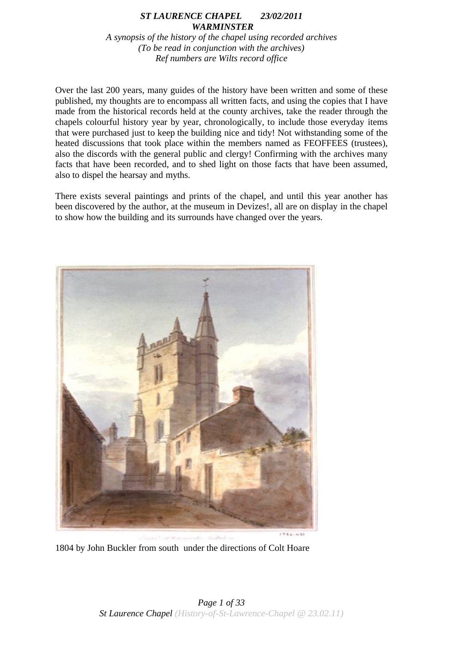# *ST LAURENCE CHAPEL 23/02/2011 WARMINSTER*

*A synopsis of the history of the chapel using recorded archives (To be read in conjunction with the archives) Ref numbers are Wilts record office*

Over the last 200 years, many guides of the history have been written and some of these published, my thoughts are to encompass all written facts, and using the copies that I have made from the historical records held at the county archives, take the reader through the chapels colourful history year by year, chronologically, to include those everyday items that were purchased just to keep the building nice and tidy! Not withstanding some of the heated discussions that took place within the members named as FEOFFEES (trustees), also the discords with the general public and clergy! Confirming with the archives many facts that have been recorded, and to shed light on those facts that have been assumed, also to dispel the hearsay and myths.

There exists several paintings and prints of the chapel, and until this year another has been discovered by the author, at the museum in Devizes!, all are on display in the chapel to show how the building and its surrounds have changed over the years.



1804 by John Buckler from south under the directions of Colt Hoare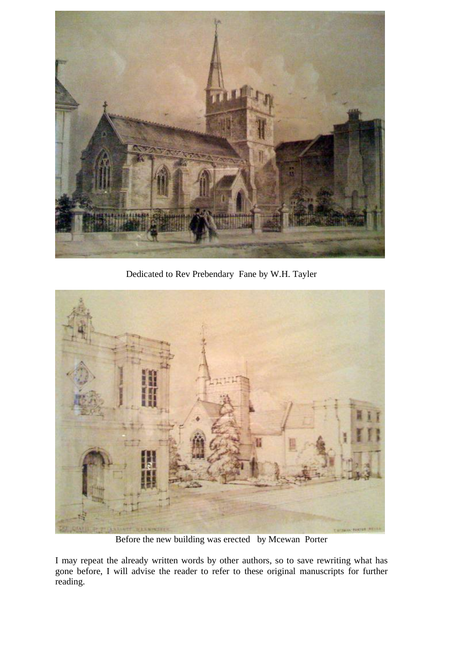

Dedicated to Rev Prebendary Fane by W.H. Tayler



Before the new building was erected by Mcewan Porter

I may repeat the already written words by other authors, so to save rewriting what has gone before, I will advise the reader to refer to these original manuscripts for further reading.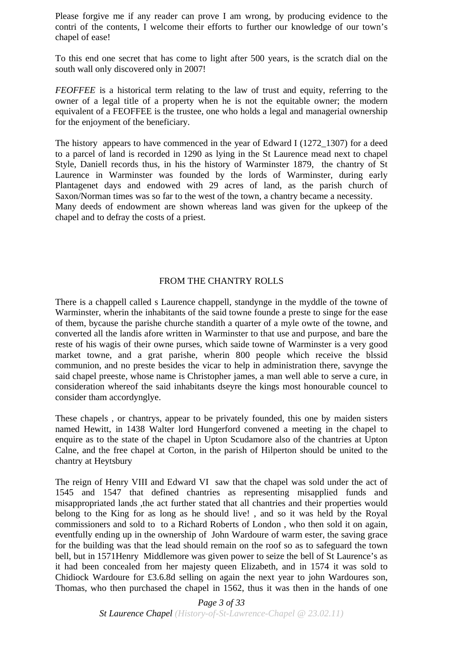Please forgive me if any reader can prove I am wrong, by producing evidence to the contri of the contents, I welcome their efforts to further our knowledge of our town's chapel of ease!

To this end one secret that has come to light after 500 years, is the scratch dial on the south wall only discovered only in 2007!

*FEOFFEE* is a historical term relating to the law of trust and equity, referring to the owner of a legal title of a property when he is not the equitable owner; the modern equivalent of a FEOFFEE is the trustee, one who holds a legal and managerial ownership for the enjoyment of the beneficiary.

The history appears to have commenced in the year of Edward I (1272\_1307) for a deed to a parcel of land is recorded in 1290 as lying in the St Laurence mead next to chapel Style, Daniell records thus, in his the history of Warminster 1879, the chantry of St Laurence in Warminster was founded by the lords of Warminster, during early Plantagenet days and endowed with 29 acres of land, as the parish church of Saxon/Norman times was so far to the west of the town, a chantry became a necessity. Many deeds of endowment are shown whereas land was given for the upkeep of the

chapel and to defray the costs of a priest.

## FROM THE CHANTRY ROLLS

There is a chappell called s Laurence chappell, standynge in the myddle of the towne of Warminster, wherin the inhabitants of the said towne founde a preste to singe for the ease of them, bycause the parishe churche standith a quarter of a myle owte of the towne, and converted all the landis afore written in Warminster to that use and purpose, and bare the reste of his wagis of their owne purses, which saide towne of Warminster is a very good market towne, and a grat parishe, wherin 800 people which receive the blssid communion, and no preste besides the vicar to help in administration there, savynge the said chapel preeste, whose name is Christopher james, a man well able to serve a cure, in consideration whereof the said inhabitants dseyre the kings most honourable councel to consider tham accordynglye.

These chapels , or chantrys, appear to be privately founded, this one by maiden sisters named Hewitt, in 1438 Walter lord Hungerford convened a meeting in the chapel to enquire as to the state of the chapel in Upton Scudamore also of the chantries at Upton Calne, and the free chapel at Corton, in the parish of Hilperton should be united to the chantry at Heytsbury

The reign of Henry VIII and Edward VI saw that the chapel was sold under the act of 1545 and 1547 that defined chantries as representing misapplied funds and misappropriated lands ,the act further stated that all chantries and their properties would belong to the King for as long as he should live! , and so it was held by the Royal commissioners and sold to to a Richard Roberts of London , who then sold it on again, eventfully ending up in the ownership of John Wardoure of warm ester, the saving grace for the building was that the lead should remain on the roof so as to safeguard the town bell, but in 1571Henry Middlemore was given power to seize the bell of St Laurence's as it had been concealed from her majesty queen Elizabeth, and in 1574 it was sold to Chidiock Wardoure for £3.6.8d selling on again the next year to john Wardoures son, Thomas, who then purchased the chapel in 1562, thus it was then in the hands of one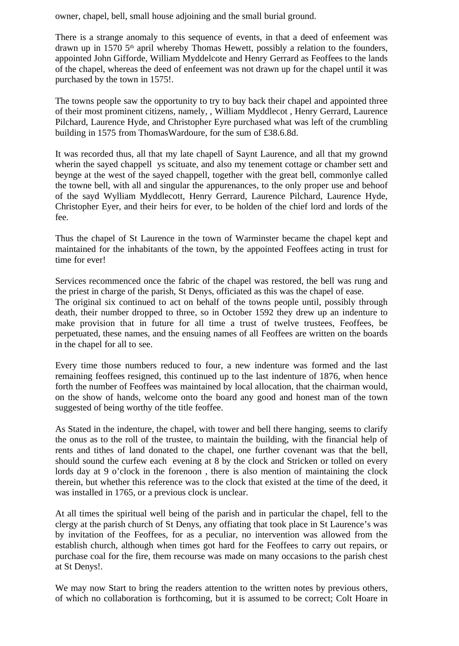owner, chapel, bell, small house adjoining and the small burial ground.

There is a strange anomaly to this sequence of events, in that a deed of enfeement was drawn up in 1570 5<sup>th</sup> april whereby Thomas Hewett, possibly a relation to the founders, appointed John Gifforde, William Myddelcote and Henry Gerrard as Feoffees to the lands of the chapel, whereas the deed of enfeement was not drawn up for the chapel until it was purchased by the town in 1575!.

The towns people saw the opportunity to try to buy back their chapel and appointed three of their most prominent citizens, namely, , William Myddlecot , Henry Gerrard, Laurence Pilchard, Laurence Hyde, and Christopher Eyre purchased what was left of the crumbling building in 1575 from ThomasWardoure, for the sum of £38.6.8d.

It was recorded thus, all that my late chapell of Saynt Laurence, and all that my grownd wherin the sayed chappell ys scituate, and also my tenement cottage or chamber sett and beynge at the west of the sayed chappell, together with the great bell, commonlye called the towne bell, with all and singular the appurenances, to the only proper use and behoof of the sayd Wylliam Myddlecott, Henry Gerrard, Laurence Pilchard, Laurence Hyde, Christopher Eyer, and their heirs for ever, to be holden of the chief lord and lords of the fee.

Thus the chapel of St Laurence in the town of Warminster became the chapel kept and maintained for the inhabitants of the town, by the appointed Feoffees acting in trust for time for ever!

Services recommenced once the fabric of the chapel was restored, the bell was rung and the priest in charge of the parish, St Denys, officiated as this was the chapel of ease.

The original six continued to act on behalf of the towns people until, possibly through death, their number dropped to three, so in October 1592 they drew up an indenture to make provision that in future for all time a trust of twelve trustees, Feoffees, be perpetuated, these names, and the ensuing names of all Feoffees are written on the boards in the chapel for all to see.

Every time those numbers reduced to four, a new indenture was formed and the last remaining feoffees resigned, this continued up to the last indenture of 1876, when hence forth the number of Feoffees was maintained by local allocation, that the chairman would, on the show of hands, welcome onto the board any good and honest man of the town suggested of being worthy of the title feoffee.

As Stated in the indenture, the chapel, with tower and bell there hanging, seems to clarify the onus as to the roll of the trustee, to maintain the building, with the financial help of rents and tithes of land donated to the chapel, one further covenant was that the bell, should sound the curfew each evening at 8 by the clock and Stricken or tolled on every lords day at 9 o'clock in the forenoon, there is also mention of maintaining the clock therein, but whether this reference was to the clock that existed at the time of the deed, it was installed in 1765, or a previous clock is unclear.

At all times the spiritual well being of the parish and in particular the chapel, fell to the clergy at the parish church of St Denys, any offiating that took place in St Laurence's was by invitation of the Feoffees, for as a peculiar, no intervention was allowed from the establish church, although when times got hard for the Feoffees to carry out repairs, or purchase coal for the fire, them recourse was made on many occasions to the parish chest at St Denys!.

We may now Start to bring the readers attention to the written notes by previous others, of which no collaboration is forthcoming, but it is assumed to be correct; Colt Hoare in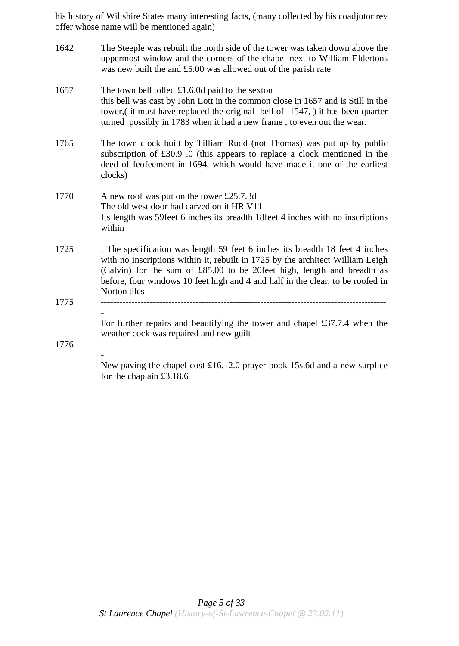his history of Wiltshire States many interesting facts, (many collected by his coadjutor rev offer whose name will be mentioned again)

| 1642 | The Steeple was rebuilt the north side of the tower was taken down above the<br>uppermost window and the corners of the chapel next to William Eldertons<br>was new built the and £5.00 was allowed out of the parish rate                                                                                                                  |
|------|---------------------------------------------------------------------------------------------------------------------------------------------------------------------------------------------------------------------------------------------------------------------------------------------------------------------------------------------|
| 1657 | The town bell tolled $£1.6.0d$ paid to the sexton<br>this bell was cast by John Lott in the common close in 1657 and is Still in the<br>tower, (it must have replaced the original bell of 1547, ) it has been quarter<br>turned possibly in 1783 when it had a new frame, to even out the wear.                                            |
| 1765 | The town clock built by Tilliam Rudd (not Thomas) was put up by public<br>subscription of $£30.9$ .0 (this appears to replace a clock mentioned in the<br>deed of feofeement in 1694, which would have made it one of the earliest<br>clocks)                                                                                               |
| 1770 | A new roof was put on the tower £25.7.3d<br>The old west door had carved on it HR V11<br>Its length was 59feet 6 inches its breadth 18feet 4 inches with no inscriptions<br>within                                                                                                                                                          |
| 1725 | . The specification was length 59 feet 6 inches its breadth 18 feet 4 inches<br>with no inscriptions within it, rebuilt in 1725 by the architect William Leigh<br>(Calvin) for the sum of £85.00 to be 20feet high, length and breadth as<br>before, four windows 10 feet high and 4 and half in the clear, to be roofed in<br>Norton tiles |
| 1775 |                                                                                                                                                                                                                                                                                                                                             |
|      | For further repairs and beautifying the tower and chapel £37.7.4 when the<br>weather cock was repaired and new guilt                                                                                                                                                                                                                        |
| 1776 | New paving the chapel cost $\pounds16.12.0$ prayer book 15s.6d and a new surplice<br>for the chaplain $£3.18.6$                                                                                                                                                                                                                             |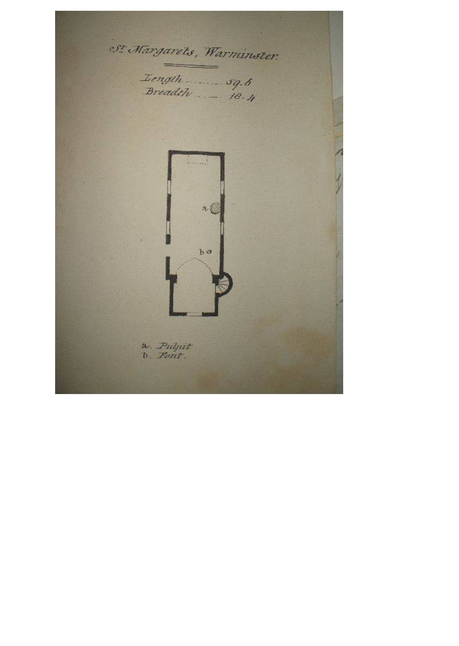St Margarets, Warminster. <u>and the second</u> Length \_\_\_\_\_\_ 59.6  $288$ b o a. Puljut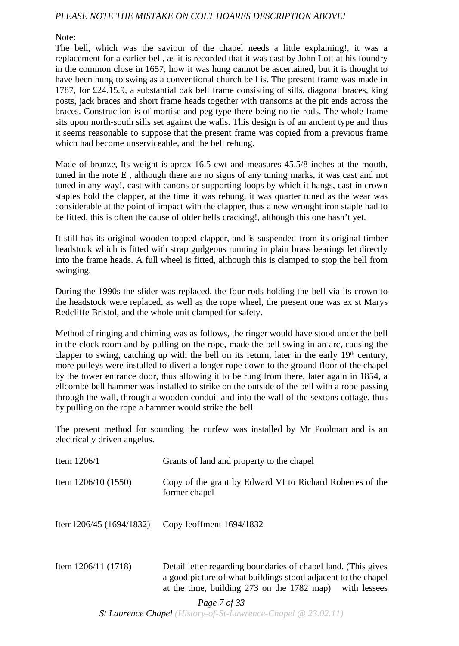## *PLEASE NOTE THE MISTAKE ON COLT HOARES DESCRIPTION ABOVE!*

Note:

The bell, which was the saviour of the chapel needs a little explaining!, it was a replacement for a earlier bell, as it is recorded that it was cast by John Lott at his foundry in the common close in 1657, how it was hung cannot be ascertained, but it is thought to have been hung to swing as a conventional church bell is. The present frame was made in 1787, for £24.15.9, a substantial oak bell frame consisting of sills, diagonal braces, king posts, jack braces and short frame heads together with transoms at the pit ends across the braces. Construction is of mortise and peg type there being no tie-rods. The whole frame sits upon north-south sills set against the walls. This design is of an ancient type and thus it seems reasonable to suppose that the present frame was copied from a previous frame which had become unserviceable, and the bell rehung.

Made of bronze, Its weight is aprox 16.5 cwt and measures 45.5/8 inches at the mouth, tuned in the note E , although there are no signs of any tuning marks, it was cast and not tuned in any way!, cast with canons or supporting loops by which it hangs, cast in crown staples hold the clapper, at the time it was rehung, it was quarter tuned as the wear was considerable at the point of impact with the clapper, thus a new wrought iron staple had to be fitted, this is often the cause of older bells cracking!, although this one hasn't yet.

It still has its original wooden-topped clapper, and is suspended from its original timber headstock which is fitted with strap gudgeons running in plain brass bearings let directly into the frame heads. A full wheel is fitted, although this is clamped to stop the bell from swinging.

During the 1990s the slider was replaced, the four rods holding the bell via its crown to the headstock were replaced, as well as the rope wheel, the present one was ex st Marys Redcliffe Bristol, and the whole unit clamped for safety.

Method of ringing and chiming was as follows, the ringer would have stood under the bell in the clock room and by pulling on the rope, made the bell swing in an arc, causing the clapper to swing, catching up with the bell on its return, later in the early  $19<sup>th</sup>$  century, more pulleys were installed to divert a longer rope down to the ground floor of the chapel by the tower entrance door, thus allowing it to be rung from there, later again in 1854, a ellcombe bell hammer was installed to strike on the outside of the bell with a rope passing through the wall, through a wooden conduit and into the wall of the sextons cottage, thus by pulling on the rope a hammer would strike the bell.

The present method for sounding the curfew was installed by Mr Poolman and is an electrically driven angelus.

| Item $1206/1$             | Grants of land and property to the chapel                                                                                       |
|---------------------------|---------------------------------------------------------------------------------------------------------------------------------|
| Item $1206/10(1550)$      | Copy of the grant by Edward VI to Richard Robertes of the<br>former chapel                                                      |
| Item1206/45 $(1694/1832)$ | Copy feoffment $1694/1832$                                                                                                      |
| Item $1206/11(1718)$      | Detail letter regarding boundaries of chapel land. (This gives<br>a good picture of what buildings stood adjacent to the chapel |

*Page 7 of 33*

at the time, building 273 on the 1782 map) with lessees

*St Laurence Chapel (History-of-St-Lawrence-Chapel @ 23.02.11)*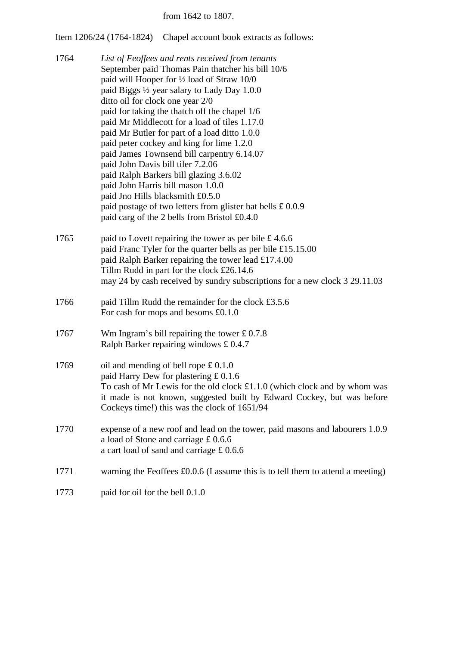#### from 1642 to 1807.

Item 1206/24 (1764-1824) Chapel account book extracts as follows:

- 1764 *List of Feoffees and rents received from tenants* September paid Thomas Pain thatcher his bill 10/6 paid will Hooper for ½ load of Straw 10/0 paid Biggs ½ year salary to Lady Day 1.0.0 ditto oil for clock one year 2/0 paid for taking the thatch off the chapel 1/6 paid Mr Middlecott for a load of tiles 1.17.0 paid Mr Butler for part of a load ditto 1.0.0 paid peter cockey and king for lime 1.2.0 paid James Townsend bill carpentry 6.14.07 paid John Davis bill tiler 7.2.06 paid Ralph Barkers bill glazing 3.6.02 paid John Harris bill mason 1.0.0 paid Jno Hills blacksmith £0.5.0 paid postage of two letters from glister bat bells £ 0.0.9 paid carg of the 2 bells from Bristol £0.4.0
- 1765 paid to Lovett repairing the tower as per bile £4.6.6 paid Franc Tyler for the quarter bells as per bile £15.15.00 paid Ralph Barker repairing the tower lead £17.4.00 Tillm Rudd in part for the clock £26.14.6 may 24 by cash received by sundry subscriptions for a new clock 3 29.11.03
- 1766 paid Tillm Rudd the remainder for the clock £3.5.6 For cash for mops and besoms £0.1.0
- 1767 Wm Ingram's bill repairing the tower £ 0.7.8 Ralph Barker repairing windows £ 0.4.7
- 1769 oil and mending of bell rope £ 0.1.0 paid Harry Dew for plastering £ 0.1.6 To cash of Mr Lewis for the old clock £1.1.0 (which clock and by whom was it made is not known, suggested built by Edward Cockey, but was before Cockeys time!) this was the clock of 1651/94
- 1770 expense of a new roof and lead on the tower, paid masons and labourers 1.0.9 a load of Stone and carriage £ 0.6.6 a cart load of sand and carriage £ 0.6.6
- 1771 warning the Feoffees £0.0.6 (I assume this is to tell them to attend a meeting)
- 1773 paid for oil for the bell 0.1.0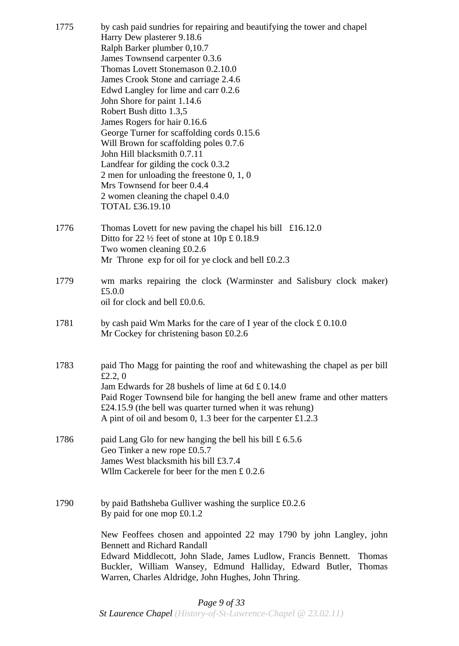| 1775 | by cash paid sundries for repairing and beautifying the tower and chapel<br>Harry Dew plasterer 9.18.6<br>Ralph Barker plumber 0,10.7<br>James Townsend carpenter 0.3.6<br>Thomas Lovett Stonemason 0.2.10.0<br>James Crook Stone and carriage 2.4.6<br>Edwd Langley for lime and carr 0.2.6<br>John Shore for paint 1.14.6<br>Robert Bush ditto 1.3,5<br>James Rogers for hair 0.16.6<br>George Turner for scaffolding cords 0.15.6<br>Will Brown for scaffolding poles 0.7.6<br>John Hill blacksmith 0.7.11<br>Landfear for gilding the cock 0.3.2<br>2 men for unloading the freestone $0, 1, 0$<br>Mrs Townsend for beer 0.4.4<br>2 women cleaning the chapel 0.4.0<br>TOTAL £36.19.10 |
|------|--------------------------------------------------------------------------------------------------------------------------------------------------------------------------------------------------------------------------------------------------------------------------------------------------------------------------------------------------------------------------------------------------------------------------------------------------------------------------------------------------------------------------------------------------------------------------------------------------------------------------------------------------------------------------------------------|
| 1776 | Thomas Lovett for new paving the chapel his bill $\pounds 16.12.0$<br>Ditto for 22 $\frac{1}{2}$ feet of stone at 10p £ 0.18.9<br>Two women cleaning £0.2.6<br>Mr Throne $\exp$ for oil for ye clock and bell £0.2.3                                                                                                                                                                                                                                                                                                                                                                                                                                                                       |
| 1779 | wm marks repairing the clock (Warminster and Salisbury clock maker)<br>£5.0.0<br>oil for clock and bell £0.0.6.                                                                                                                                                                                                                                                                                                                                                                                                                                                                                                                                                                            |
| 1781 | by cash paid Wm Marks for the care of I year of the clock $\pounds$ 0.10.0<br>Mr Cockey for christening bason £0.2.6                                                                                                                                                                                                                                                                                                                                                                                                                                                                                                                                                                       |
| 1783 | paid Tho Magg for painting the roof and white washing the chapel as per bill<br>£2.2, $0$<br>Jam Edwards for 28 bushels of lime at 6d £ 0.14.0<br>Paid Roger Townsend bile for hanging the bell anew frame and other matters<br>£24.15.9 (the bell was quarter turned when it was rehung)<br>A pint of oil and besom 0, 1.3 beer for the carpenter $£1.2.3$                                                                                                                                                                                                                                                                                                                                |
| 1786 | paid Lang Glo for new hanging the bell his bill $\pounds$ 6.5.6<br>Geo Tinker a new rope £0.5.7<br>James West blacksmith his bill £3.7.4<br>Wllm Cackerele for beer for the men $£ 0.2.6$                                                                                                                                                                                                                                                                                                                                                                                                                                                                                                  |
| 1790 | by paid Bathsheba Gulliver washing the surplice £0.2.6<br>By paid for one mop $£0.1.2$<br>New Feoffees chosen and appointed 22 may 1790 by john Langley, john<br><b>Bennett and Richard Randall</b><br>Edward Middlecott, John Slade, James Ludlow, Francis Bennett.<br><b>Thomas</b><br>Buckler, William Wansey, Edmund Halliday, Edward Butler, Thomas                                                                                                                                                                                                                                                                                                                                   |
|      | Warren, Charles Aldridge, John Hughes, John Thring.                                                                                                                                                                                                                                                                                                                                                                                                                                                                                                                                                                                                                                        |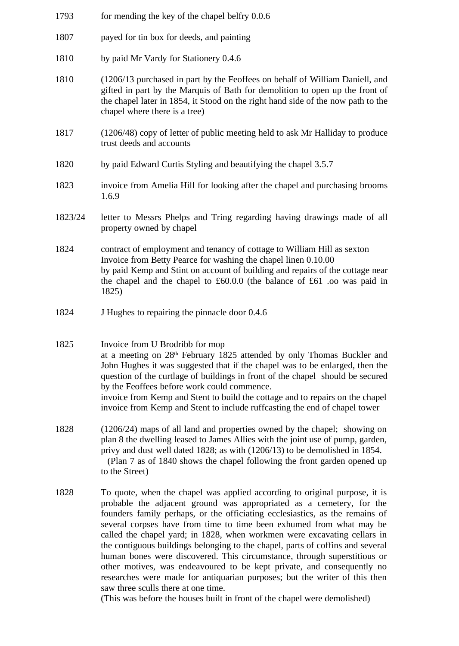- 1793 for mending the key of the chapel belfry 0.0.6 1807 payed for tin box for deeds, and painting 1810 by paid Mr Vardy for Stationery 0.4.6 1810 (1206/13 purchased in part by the Feoffees on behalf of William Daniell, and gifted in part by the Marquis of Bath for demolition to open up the front of the chapel later in 1854, it Stood on the right hand side of the now path to the chapel where there is a tree) 1817 (1206/48) copy of letter of public meeting held to ask Mr Halliday to produce trust deeds and accounts 1820 by paid Edward Curtis Styling and beautifying the chapel 3.5.7 1823 invoice from Amelia Hill for looking after the chapel and purchasing brooms 1.6.9 1823/24 letter to Messrs Phelps and Tring regarding having drawings made of all property owned by chapel 1824 contract of employment and tenancy of cottage to William Hill as sexton Invoice from Betty Pearce for washing the chapel linen 0.10.00 by paid Kemp and Stint on account of building and repairs of the cottage near the chapel and the chapel to £60.0.0 (the balance of £61 .oo was paid in 1825) 1824 J Hughes to repairing the pinnacle door 0.4.6 1825 Invoice from U Brodribb for mop at a meeting on 28th February 1825 attended by only Thomas Buckler and John Hughes it was suggested that if the chapel was to be enlarged, then the question of the curtlage of buildings in front of the chapel should be secured by the Feoffees before work could commence. invoice from Kemp and Stent to build the cottage and to repairs on the chapel invoice from Kemp and Stent to include ruffcasting the end of chapel tower 1828 (1206/24) maps of all land and properties owned by the chapel; showing on
- plan 8 the dwelling leased to James Allies with the joint use of pump, garden, privy and dust well dated 1828; as with (1206/13) to be demolished in 1854. (Plan 7 as of 1840 shows the chapel following the front garden opened up to the Street)
- 1828 To quote, when the chapel was applied according to original purpose, it is probable the adjacent ground was appropriated as a cemetery, for the founders family perhaps, or the officiating ecclesiastics, as the remains of several corpses have from time to time been exhumed from what may be called the chapel yard; in 1828, when workmen were excavating cellars in the contiguous buildings belonging to the chapel, parts of coffins and several human bones were discovered. This circumstance, through superstitious or other motives, was endeavoured to be kept private, and consequently no researches were made for antiquarian purposes; but the writer of this then saw three sculls there at one time.

(This was before the houses built in front of the chapel were demolished)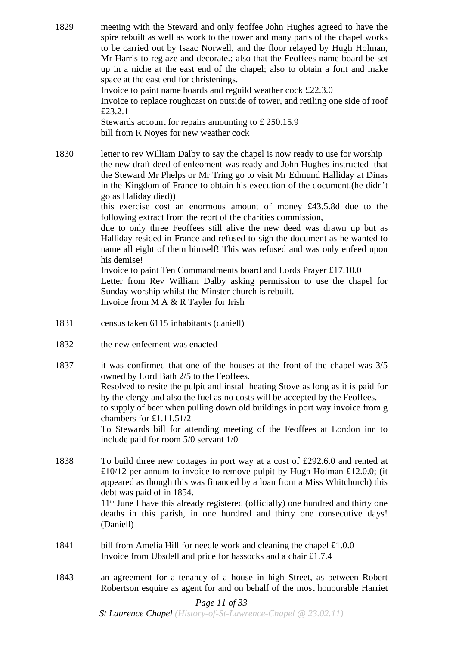1829 meeting with the Steward and only feoffee John Hughes agreed to have the spire rebuilt as well as work to the tower and many parts of the chapel works to be carried out by Isaac Norwell, and the floor relayed by Hugh Holman, Mr Harris to reglaze and decorate.; also that the Feoffees name board be set up in a niche at the east end of the chapel; also to obtain a font and make space at the east end for christenings. Invoice to paint name boards and reguild weather cock £22.3.0

Invoice to replace roughcast on outside of tower, and retiling one side of roof £23.2.1

Stewards account for repairs amounting to £ 250.15.9 bill from R Noyes for new weather cock

1830 letter to rev William Dalby to say the chapel is now ready to use for worship the new draft deed of enfeoment was ready and John Hughes instructed that the Steward Mr Phelps or Mr Tring go to visit Mr Edmund Halliday at Dinas in the Kingdom of France to obtain his execution of the document.(he didn't go as Haliday died))

> this exercise cost an enormous amount of money £43.5.8d due to the following extract from the reort of the charities commission,

> due to only three Feoffees still alive the new deed was drawn up but as Halliday resided in France and refused to sign the document as he wanted to name all eight of them himself! This was refused and was only enfeed upon his demise!

> Invoice to paint Ten Commandments board and Lords Prayer £17.10.0 Letter from Rev William Dalby asking permission to use the chapel for

> Sunday worship whilst the Minster church is rebuilt.

Invoice from M A & R Tayler for Irish

- 1831 census taken 6115 inhabitants (daniell)
- 1832 the new enfeement was enacted

(Daniell)

- 1837 it was confirmed that one of the houses at the front of the chapel was 3/5 owned by Lord Bath 2/5 to the Feoffees. Resolved to resite the pulpit and install heating Stove as long as it is paid for by the clergy and also the fuel as no costs will be accepted by the Feoffees. to supply of beer when pulling down old buildings in port way invoice from g chambers for £1.11.51/2 To Stewards bill for attending meeting of the Feoffees at London inn to include paid for room 5/0 servant 1/0
- 1838 To build three new cottages in port way at a cost of £292.6.0 and rented at £10/12 per annum to invoice to remove pulpit by Hugh Holman £12.0.0; (it appeared as though this was financed by a loan from a Miss Whitchurch) this debt was paid of in 1854. 11th June I have this already registered (officially) one hundred and thirty one deaths in this parish, in one hundred and thirty one consecutive days!

1841 bill from Amelia Hill for needle work and cleaning the chapel £1.0.0 Invoice from Ubsdell and price for hassocks and a chair £1.7.4

1843 an agreement for a tenancy of a house in high Street, as between Robert Robertson esquire as agent for and on behalf of the most honourable Harriet

## *Page 11 of 33*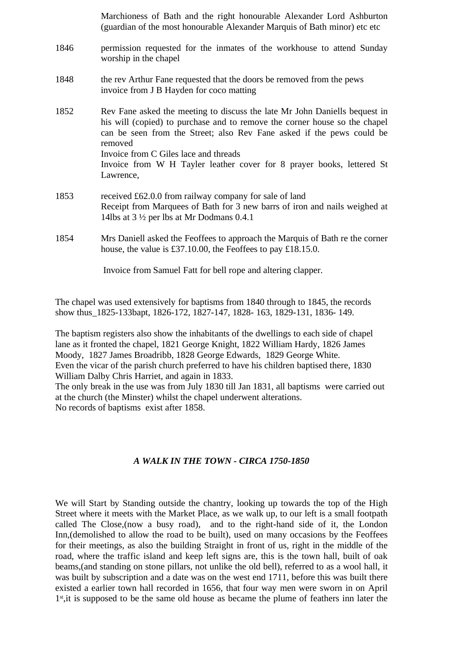Marchioness of Bath and the right honourable Alexander Lord Ashburton (guardian of the most honourable Alexander Marquis of Bath minor) etc etc

- 1846 permission requested for the inmates of the workhouse to attend Sunday worship in the chapel
- 1848 the rev Arthur Fane requested that the doors be removed from the pews invoice from J B Hayden for coco matting
- 1852 Rev Fane asked the meeting to discuss the late Mr John Daniells bequest in his will (copied) to purchase and to remove the corner house so the chapel can be seen from the Street; also Rev Fane asked if the pews could be removed Invoice from C Giles lace and threads Invoice from W H Tayler leather cover for 8 prayer books, lettered St Lawrence,
- 1853 received £62.0.0 from railway company for sale of land Receipt from Marquees of Bath for 3 new barrs of iron and nails weighed at 14lbs at 3 ½ per lbs at Mr Dodmans 0.4.1
- 1854 Mrs Daniell asked the Feoffees to approach the Marquis of Bath re the corner house, the value is £37.10.00, the Feoffees to pay £18.15.0.

Invoice from Samuel Fatt for bell rope and altering clapper.

The chapel was used extensively for baptisms from 1840 through to 1845, the records show thus\_1825-133bapt, 1826-172, 1827-147, 1828- 163, 1829-131, 1836- 149.

The baptism registers also show the inhabitants of the dwellings to each side of chapel lane as it fronted the chapel, 1821 George Knight, 1822 William Hardy, 1826 James Moody, 1827 James Broadribb, 1828 George Edwards, 1829 George White. Even the vicar of the parish church preferred to have his children baptised there, 1830 William Dalby Chris Harriet, and again in 1833.

The only break in the use was from July 1830 till Jan 1831, all baptisms were carried out at the church (the Minster) whilst the chapel underwent alterations. No records of baptisms exist after 1858.

#### *A WALK IN THE TOWN - CIRCA 1750-1850*

We will Start by Standing outside the chantry, looking up towards the top of the High Street where it meets with the Market Place, as we walk up, to our left is a small footpath called The Close,(now a busy road), and to the right-hand side of it, the London Inn,(demolished to allow the road to be built), used on many occasions by the Feoffees for their meetings, as also the building Straight in front of us, right in the middle of the road, where the traffic island and keep left signs are, this is the town hall, built of oak beams,(and standing on stone pillars, not unlike the old bell), referred to as a wool hall, it was built by subscription and a date was on the west end 1711, before this was built there existed a earlier town hall recorded in 1656, that four way men were sworn in on April 1<sup>st</sup>, it is supposed to be the same old house as became the plume of feathers inn later the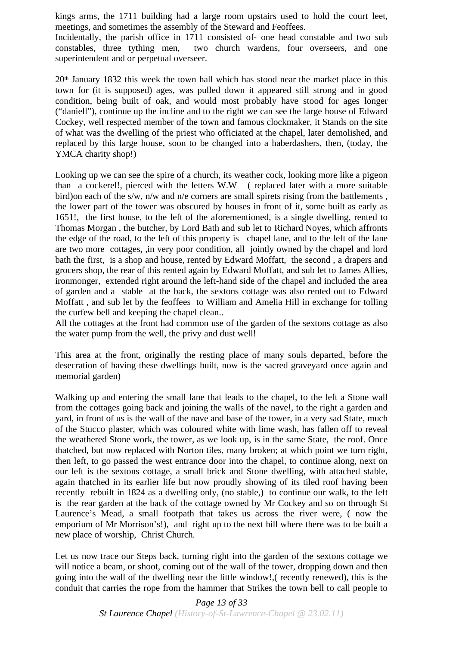kings arms, the 1711 building had a large room upstairs used to hold the court leet, meetings, and sometimes the assembly of the Steward and Feoffees.

Incidentally, the parish office in 1711 consisted of- one head constable and two sub constables, three tything men, two church wardens, four overseers, and one superintendent and or perpetual overseer.

 $20<sup>th</sup>$  January 1832 this week the town hall which has stood near the market place in this town for (it is supposed) ages, was pulled down it appeared still strong and in good condition, being built of oak, and would most probably have stood for ages longer ("daniell"), continue up the incline and to the right we can see the large house of Edward Cockey, well respected member of the town and famous clockmaker, it Stands on the site of what was the dwelling of the priest who officiated at the chapel, later demolished, and replaced by this large house, soon to be changed into a haberdashers, then, (today, the YMCA charity shop!)

Looking up we can see the spire of a church, its weather cock, looking more like a pigeon than a cockerel!, pierced with the letters W.W ( replaced later with a more suitable bird)on each of the s/w, n/w and n/e corners are small spirets rising from the battlements , the lower part of the tower was obscured by houses in front of it, some built as early as 1651!, the first house, to the left of the aforementioned, is a single dwelling, rented to Thomas Morgan , the butcher, by Lord Bath and sub let to Richard Noyes, which affronts the edge of the road, to the left of this property is chapel lane, and to the left of the lane are two more cottages, ,in very poor condition, all jointly owned by the chapel and lord bath the first, is a shop and house, rented by Edward Moffatt, the second , a drapers and grocers shop, the rear of this rented again by Edward Moffatt, and sub let to James Allies, ironmonger, extended right around the left-hand side of the chapel and included the area of garden and a stable at the back, the sextons cottage was also rented out to Edward Moffatt , and sub let by the feoffees to William and Amelia Hill in exchange for tolling the curfew bell and keeping the chapel clean..

All the cottages at the front had common use of the garden of the sextons cottage as also the water pump from the well, the privy and dust well!

This area at the front, originally the resting place of many souls departed, before the desecration of having these dwellings built, now is the sacred graveyard once again and memorial garden)

Walking up and entering the small lane that leads to the chapel, to the left a Stone wall from the cottages going back and joining the walls of the nave!, to the right a garden and yard, in front of us is the wall of the nave and base of the tower, in a very sad State, much of the Stucco plaster, which was coloured white with lime wash, has fallen off to reveal the weathered Stone work, the tower, as we look up, is in the same State, the roof. Once thatched, but now replaced with Norton tiles, many broken; at which point we turn right, then left, to go passed the west entrance door into the chapel, to continue along, next on our left is the sextons cottage, a small brick and Stone dwelling, with attached stable, again thatched in its earlier life but now proudly showing of its tiled roof having been recently rebuilt in 1824 as a dwelling only, (no stable,) to continue our walk, to the left is the rear garden at the back of the cottage owned by Mr Cockey and so on through St Laurence's Mead, a small footpath that takes us across the river were, ( now the emporium of Mr Morrison's!), and right up to the next hill where there was to be built a new place of worship, Christ Church.

Let us now trace our Steps back, turning right into the garden of the sextons cottage we will notice a beam, or shoot, coming out of the wall of the tower, dropping down and then going into the wall of the dwelling near the little window!,( recently renewed), this is the conduit that carries the rope from the hammer that Strikes the town bell to call people to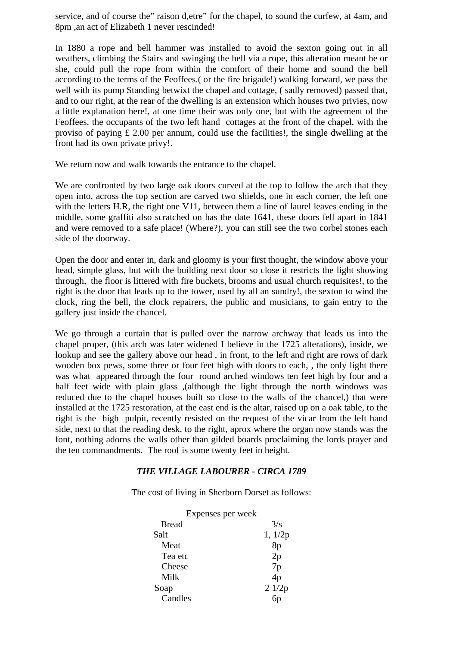service, and of course the" raison d,etre" for the chapel, to sound the curfew, at 4am, and 8pm ,an act of Elizabeth 1 never rescinded!

In 1880 a rope and bell hammer was installed to avoid the sexton going out in all weathers, climbing the Stairs and swinging the bell via a rope, this alteration meant he or she, could pull the rope from within the comfort of their home and sound the bell according to the terms of the Feoffees.( or the fire brigade!) walking forward, we pass the well with its pump Standing betwixt the chapel and cottage, (sadly removed) passed that, and to our right, at the rear of the dwelling is an extension which houses two privies, now a little explanation here!, at one time their was only one, but with the agreement of the Feoffees, the occupants of the two left hand cottages at the front of the chapel, with the proviso of paying £ 2.00 per annum, could use the facilities!, the single dwelling at the front had its own private privy!.

We return now and walk towards the entrance to the chapel.

We are confronted by two large oak doors curved at the top to follow the arch that they open into, across the top section are carved two shields, one in each corner, the left one with the letters H.R, the right one V11, between them a line of laurel leaves ending in the middle, some graffiti also scratched on has the date 1641, these doors fell apart in 1841 and were removed to a safe place! (Where?), you can still see the two corbel stones each side of the doorway.

Open the door and enter in, dark and gloomy is your first thought, the window above your head, simple glass, but with the building next door so close it restricts the light showing through, the floor is littered with fire buckets, brooms and usual church requisites!, to the right is the door that leads up to the tower, used by all an sundry!, the sexton to wind the clock, ring the bell, the clock repairers, the public and musicians, to gain entry to the gallery just inside the chancel.

We go through a curtain that is pulled over the narrow archway that leads us into the chapel proper, (this arch was later widened I believe in the 1725 alterations), inside, we lookup and see the gallery above our head , in front, to the left and right are rows of dark wooden box pews, some three or four feet high with doors to each, , the only light there was what appeared through the four round arched windows ten feet high by four and a half feet wide with plain glass ,(although the light through the north windows was reduced due to the chapel houses built so close to the walls of the chancel,) that were installed at the 1725 restoration, at the east end is the altar, raised up on a oak table, to the right is the high pulpit, recently resisted on the request of the vicar from the left hand side, next to that the reading desk, to the right, aprox where the organ now stands was the font, nothing adorns the walls other than gilded boards proclaiming the lords prayer and the ten commandments. The roof is some twenty feet in height.

#### *THE VILLAGE LABOURER - CIRCA 1789*

The cost of living in Sherborn Dorset as follows:

| Expenses per week |         |
|-------------------|---------|
| <b>Bread</b>      | 3/s     |
| Salt              | 1, 1/2p |
| Meat              | 8p      |
| Tea etc           | 2p      |
| Cheese            | 7p      |
| Milk              | 4p      |
| Soap              | 21/2p   |
| Candles           |         |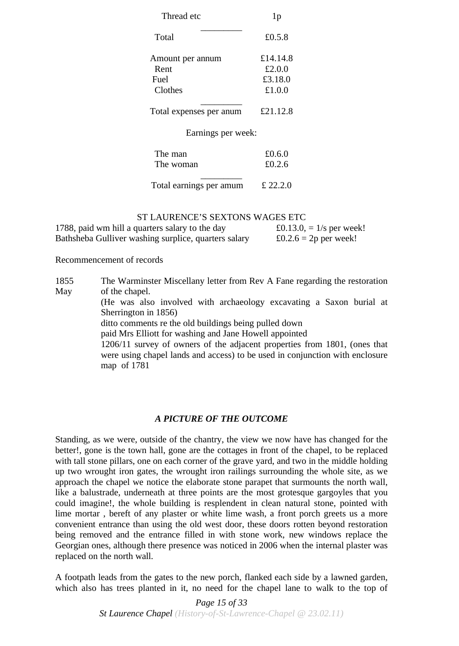| Thread etc              | 1 <sub>p</sub>   |  |
|-------------------------|------------------|--|
| Total                   | £ $0.5.8$        |  |
| Amount per annum        | £14.14.8         |  |
| Rent                    | £2.0.0           |  |
| Fuel                    | £3.18.0          |  |
| Clothes                 | £1.0.0           |  |
| Total expenses per anum | £21.12.8         |  |
| Earnings per week:      |                  |  |
| The man<br>The woman    | £0.6.0<br>£0.2.6 |  |
| Total earnings per amum | £ 22.2.0         |  |

## ST LAURENCE'S SEXTONS WAGES ETC

| 1788, paid wm hill a quarters salary to the day      | £0.13.0, $= 1/s$ per week! |
|------------------------------------------------------|----------------------------|
| Bathsheba Gulliver washing surplice, quarters salary | £0.2.6 = 2p per week!      |

Recommencement of records

1855 May The Warminster Miscellany letter from Rev A Fane regarding the restoration of the chapel.

> (He was also involved with archaeology excavating a Saxon burial at Sherrington in 1856)

ditto comments re the old buildings being pulled down

paid Mrs Elliott for washing and Jane Howell appointed

1206/11 survey of owners of the adjacent properties from 1801, (ones that were using chapel lands and access) to be used in conjunction with enclosure map of 1781

#### *A PICTURE OF THE OUTCOME*

Standing, as we were, outside of the chantry, the view we now have has changed for the better!, gone is the town hall, gone are the cottages in front of the chapel, to be replaced with tall stone pillars, one on each corner of the grave yard, and two in the middle holding up two wrought iron gates, the wrought iron railings surrounding the whole site, as we approach the chapel we notice the elaborate stone parapet that surmounts the north wall, like a balustrade, underneath at three points are the most grotesque gargoyles that you could imagine!, the whole building is resplendent in clean natural stone, pointed with lime mortar , bereft of any plaster or white lime wash, a front porch greets us a more convenient entrance than using the old west door, these doors rotten beyond restoration being removed and the entrance filled in with stone work, new windows replace the Georgian ones, although there presence was noticed in 2006 when the internal plaster was replaced on the north wall.

A footpath leads from the gates to the new porch, flanked each side by a lawned garden, which also has trees planted in it, no need for the chapel lane to walk to the top of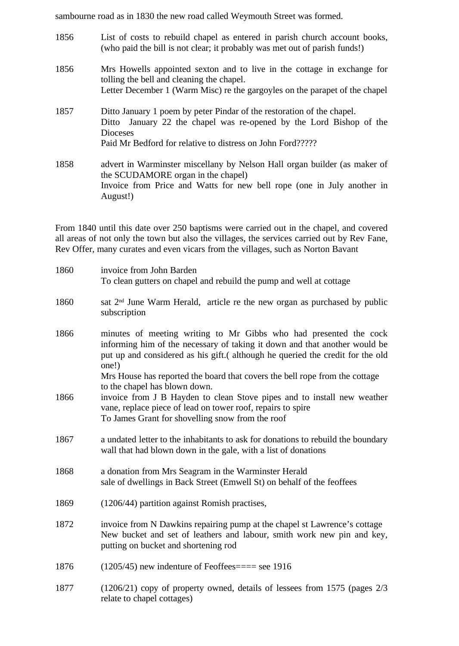sambourne road as in 1830 the new road called Weymouth Street was formed.

| 1856 | List of costs to rebuild chapel as entered in parish church account books,<br>(who paid the bill is not clear; it probably was met out of parish funds!)                                                                       |
|------|--------------------------------------------------------------------------------------------------------------------------------------------------------------------------------------------------------------------------------|
| 1856 | Mrs Howells appointed sexton and to live in the cottage in exchange for<br>tolling the bell and cleaning the chapel.<br>Letter December 1 (Warm Misc) re the gargoyles on the parapet of the chapel                            |
| 1857 | Ditto January 1 poem by peter Pindar of the restoration of the chapel.<br>Ditto January 22 the chapel was re-opened by the Lord Bishop of the<br><b>Dioceses</b><br>Paid Mr Bedford for relative to distress on John Ford????? |
| 1858 | advert in Warminster miscellany by Nelson Hall organ builder (as maker of<br>the SCUDAMORE organ in the chapel)<br>Invoice from Price and Watts for new bell rope (one in July another in<br>August!)                          |

From 1840 until this date over 250 baptisms were carried out in the chapel, and covered all areas of not only the town but also the villages, the services carried out by Rev Fane, Rev Offer, many curates and even vicars from the villages, such as Norton Bavant

| 1860 | invoice from John Barden<br>To clean gutters on chapel and rebuild the pump and well at cottage                                                                                                                                                                                                                                                           |
|------|-----------------------------------------------------------------------------------------------------------------------------------------------------------------------------------------------------------------------------------------------------------------------------------------------------------------------------------------------------------|
| 1860 | sat 2 <sup>nd</sup> June Warm Herald, article re the new organ as purchased by public<br>subscription                                                                                                                                                                                                                                                     |
| 1866 | minutes of meeting writing to Mr Gibbs who had presented the cock<br>informing him of the necessary of taking it down and that another would be<br>put up and considered as his gift.(although he queried the credit for the old<br>one!)<br>Mrs House has reported the board that covers the bell rope from the cottage<br>to the chapel has blown down. |
| 1866 | invoice from J B Hayden to clean Stove pipes and to install new weather<br>vane, replace piece of lead on tower roof, repairs to spire<br>To James Grant for shovelling snow from the roof                                                                                                                                                                |
| 1867 | a undated letter to the inhabitants to ask for donations to rebuild the boundary<br>wall that had blown down in the gale, with a list of donations                                                                                                                                                                                                        |
| 1868 | a donation from Mrs Seagram in the Warminster Herald<br>sale of dwellings in Back Street (Emwell St) on behalf of the feoffees                                                                                                                                                                                                                            |
| 1869 | (1206/44) partition against Romish practises,                                                                                                                                                                                                                                                                                                             |
| 1872 | invoice from N Dawkins repairing pump at the chapel st Lawrence's cottage<br>New bucket and set of leathers and labour, smith work new pin and key,<br>putting on bucket and shortening rod                                                                                                                                                               |
| 1876 | $(1205/45)$ new indenture of Feoffees = = see 1916                                                                                                                                                                                                                                                                                                        |
| 1877 | $(1206/21)$ copy of property owned, details of lessees from 1575 (pages $2/3$ )<br>relate to chapel cottages)                                                                                                                                                                                                                                             |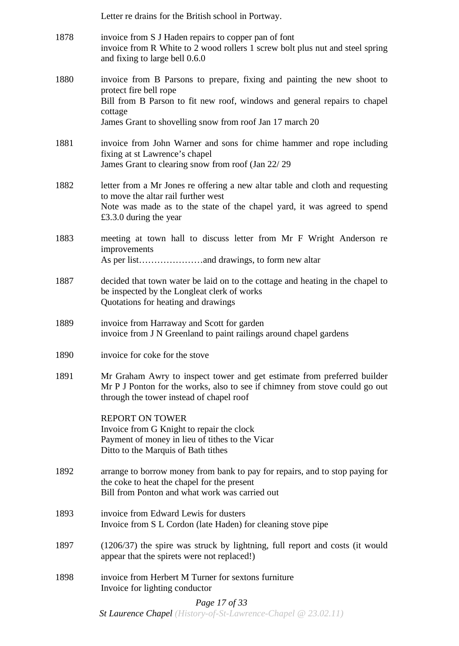|      | Letter re drains for the British school in Portway.                                                                                                                                                                                                   |
|------|-------------------------------------------------------------------------------------------------------------------------------------------------------------------------------------------------------------------------------------------------------|
| 1878 | invoice from S J Haden repairs to copper pan of font<br>invoice from R White to 2 wood rollers 1 screw bolt plus nut and steel spring<br>and fixing to large bell 0.6.0                                                                               |
| 1880 | invoice from B Parsons to prepare, fixing and painting the new shoot to<br>protect fire bell rope<br>Bill from B Parson to fit new roof, windows and general repairs to chapel<br>cottage<br>James Grant to shovelling snow from roof Jan 17 march 20 |
| 1881 | invoice from John Warner and sons for chime hammer and rope including<br>fixing at st Lawrence's chapel<br>James Grant to clearing snow from roof (Jan 22/29)                                                                                         |
| 1882 | letter from a Mr Jones re offering a new altar table and cloth and requesting<br>to move the altar rail further west<br>Note was made as to the state of the chapel yard, it was agreed to spend<br>£3.3.0 during the year                            |
| 1883 | meeting at town hall to discuss letter from Mr F Wright Anderson re<br>improvements                                                                                                                                                                   |
| 1887 | decided that town water be laid on to the cottage and heating in the chapel to<br>be inspected by the Longleat clerk of works<br>Quotations for heating and drawings                                                                                  |
| 1889 | invoice from Harraway and Scott for garden<br>invoice from J N Greenland to paint railings around chapel gardens                                                                                                                                      |
| 1890 | invoice for coke for the stove                                                                                                                                                                                                                        |
| 1891 | Mr Graham Awry to inspect tower and get estimate from preferred builder<br>Mr P J Ponton for the works, also to see if chimney from stove could go out<br>through the tower instead of chapel roof                                                    |
|      | <b>REPORT ON TOWER</b><br>Invoice from G Knight to repair the clock<br>Payment of money in lieu of tithes to the Vicar<br>Ditto to the Marquis of Bath tithes                                                                                         |
| 1892 | arrange to borrow money from bank to pay for repairs, and to stop paying for<br>the coke to heat the chapel for the present<br>Bill from Ponton and what work was carried out                                                                         |
| 1893 | invoice from Edward Lewis for dusters<br>Invoice from S L Cordon (late Haden) for cleaning stove pipe                                                                                                                                                 |
| 1897 | $(1206/37)$ the spire was struck by lightning, full report and costs (it would<br>appear that the spirets were not replaced!)                                                                                                                         |
| 1898 | invoice from Herbert M Turner for sextons furniture<br>Invoice for lighting conductor                                                                                                                                                                 |
|      | Page 17 of 33<br><b>St Laurence Chapel</b> (History-of-St-Lawrence-Chapel $@ 23.02.11$ )                                                                                                                                                              |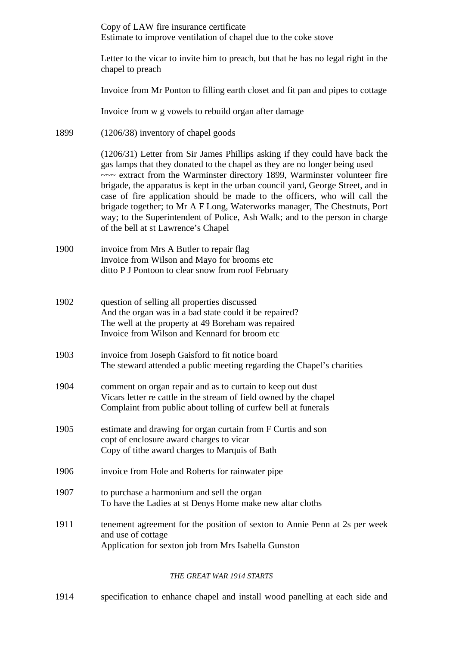Copy of LAW fire insurance certificate Estimate to improve ventilation of chapel due to the coke stove

Letter to the vicar to invite him to preach, but that he has no legal right in the chapel to preach

Invoice from Mr Ponton to filling earth closet and fit pan and pipes to cottage

Invoice from w g vowels to rebuild organ after damage

1899 (1206/38) inventory of chapel goods

(1206/31) Letter from Sir James Phillips asking if they could have back the gas lamps that they donated to the chapel as they are no longer being used ~~~ extract from the Warminster directory 1899, Warminster volunteer fire brigade, the apparatus is kept in the urban council yard, George Street, and in case of fire application should be made to the officers, who will call the brigade together; to Mr A F Long, Waterworks manager, The Chestnuts, Port way; to the Superintendent of Police, Ash Walk; and to the person in charge of the bell at st Lawrence's Chapel

- 1900 invoice from Mrs A Butler to repair flag Invoice from Wilson and Mayo for brooms etc ditto P J Pontoon to clear snow from roof February
- 1902 question of selling all properties discussed And the organ was in a bad state could it be repaired? The well at the property at 49 Boreham was repaired Invoice from Wilson and Kennard for broom etc
- 1903 invoice from Joseph Gaisford to fit notice board The steward attended a public meeting regarding the Chapel's charities
- 1904 comment on organ repair and as to curtain to keep out dust Vicars letter re cattle in the stream of field owned by the chapel Complaint from public about tolling of curfew bell at funerals
- 1905 estimate and drawing for organ curtain from F Curtis and son copt of enclosure award charges to vicar Copy of tithe award charges to Marquis of Bath
- 1906 invoice from Hole and Roberts for rainwater pipe
- 1907 to purchase a harmonium and sell the organ To have the Ladies at st Denys Home make new altar cloths
- 1911 tenement agreement for the position of sexton to Annie Penn at 2s per week and use of cottage Application for sexton job from Mrs Isabella Gunston

#### *THE GREAT WAR 1914 STARTS*

1914 specification to enhance chapel and install wood panelling at each side and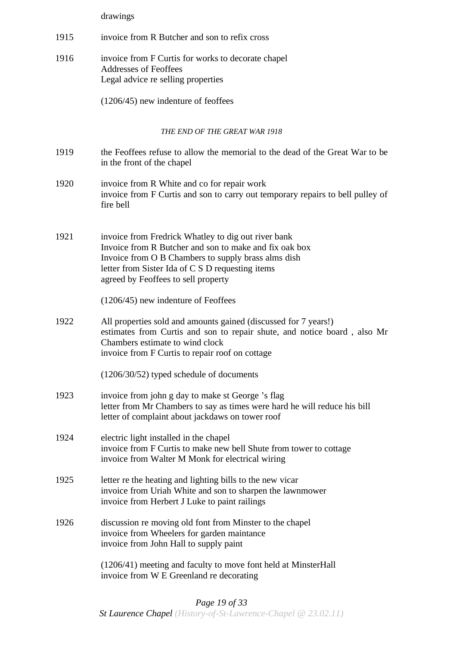drawings

- 1915 invoice from R Butcher and son to refix cross
- 1916 invoice from F Curtis for works to decorate chapel Addresses of Feoffees Legal advice re selling properties

(1206/45) new indenture of feoffees

#### *THE END OF THE GREAT WAR 1918*

- 1919 the Feoffees refuse to allow the memorial to the dead of the Great War to be in the front of the chapel
- 1920 invoice from R White and co for repair work invoice from F Curtis and son to carry out temporary repairs to bell pulley of fire bell
- 1921 invoice from Fredrick Whatley to dig out river bank Invoice from R Butcher and son to make and fix oak box Invoice from O B Chambers to supply brass alms dish letter from Sister Ida of C S D requesting items agreed by Feoffees to sell property

(1206/45) new indenture of Feoffees

1922 All properties sold and amounts gained (discussed for 7 years!) estimates from Curtis and son to repair shute, and notice board , also Mr Chambers estimate to wind clock invoice from F Curtis to repair roof on cottage

(1206/30/52) typed schedule of documents

- 1923 invoice from john g day to make st George 's flag letter from Mr Chambers to say as times were hard he will reduce his bill letter of complaint about jackdaws on tower roof
- 1924 electric light installed in the chapel invoice from F Curtis to make new bell Shute from tower to cottage invoice from Walter M Monk for electrical wiring
- 1925 letter re the heating and lighting bills to the new vicar invoice from Uriah White and son to sharpen the lawnmower invoice from Herbert J Luke to paint railings
- 1926 discussion re moving old font from Minster to the chapel invoice from Wheelers for garden maintance invoice from John Hall to supply paint

(1206/41) meeting and faculty to move font held at MinsterHall invoice from W E Greenland re decorating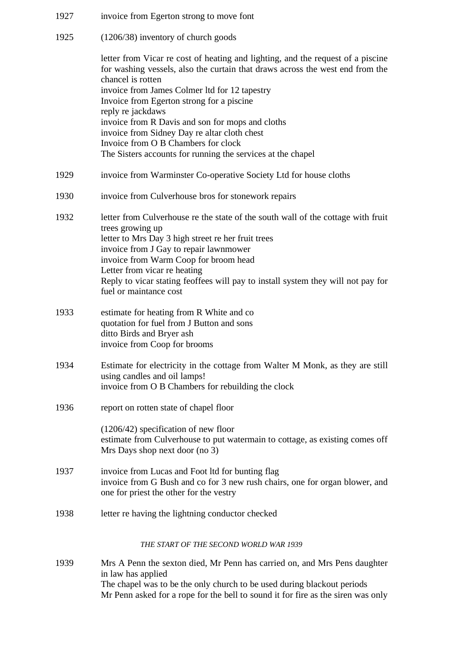| 1927 | invoice from Egerton strong to move font                                                                                                                                              |
|------|---------------------------------------------------------------------------------------------------------------------------------------------------------------------------------------|
| 1925 | $(1206/38)$ inventory of church goods                                                                                                                                                 |
|      | letter from Vicar re cost of heating and lighting, and the request of a piscine<br>for washing vessels, also the curtain that draws across the west end from the<br>chancel is rotten |
|      | invoice from James Colmer ltd for 12 tapestry<br>Invoice from Egerton strong for a piscine                                                                                            |
|      | reply re jackdaws<br>invoice from R Davis and son for mops and cloths<br>invoice from Sidney Day re altar cloth chest<br>Invoice from O B Chambers for clock                          |
|      | The Sisters accounts for running the services at the chapel                                                                                                                           |
| 1929 | invoice from Warminster Co-operative Society Ltd for house cloths                                                                                                                     |
| 1930 | invoice from Culverhouse bros for stonework repairs                                                                                                                                   |
| 1932 | letter from Culverhouse re the state of the south wall of the cottage with fruit<br>trees growing up                                                                                  |
|      | letter to Mrs Day 3 high street re her fruit trees                                                                                                                                    |
|      | invoice from J Gay to repair lawnmower<br>invoice from Warm Coop for broom head                                                                                                       |
|      | Letter from vicar re heating                                                                                                                                                          |
|      | Reply to vicar stating feoffees will pay to install system they will not pay for<br>fuel or maintance cost                                                                            |
| 1933 | estimate for heating from R White and co<br>quotation for fuel from J Button and sons<br>ditto Birds and Bryer ash<br>invoice from Coop for brooms                                    |
| 1934 | Estimate for electricity in the cottage from Walter M Monk, as they are still<br>using candles and oil lamps!<br>invoice from O B Chambers for rebuilding the clock                   |
|      |                                                                                                                                                                                       |
| 1936 | report on rotten state of chapel floor                                                                                                                                                |
|      | $(1206/42)$ specification of new floor<br>estimate from Culverhouse to put watermain to cottage, as existing comes off<br>Mrs Days shop next door (no 3)                              |
| 1937 | invoice from Lucas and Foot ltd for bunting flag<br>invoice from G Bush and co for 3 new rush chairs, one for organ blower, and<br>one for priest the other for the vestry            |
| 1938 | letter re having the lightning conductor checked                                                                                                                                      |
|      | THE START OF THE SECOND WORLD WAR 1939                                                                                                                                                |
| 1939 | Mrs A Penn the sexton died, Mr Penn has carried on, and Mrs Pens daughter<br>in law has applied                                                                                       |
|      | The chapel was to be the only church to be used during blackout periods<br>Mr Penn asked for a rope for the bell to sound it for fire as the siren was only                           |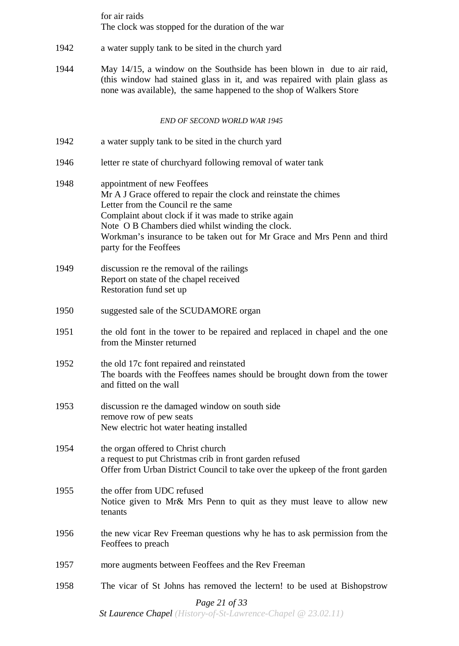for air raids The clock was stopped for the duration of the war

- 1942 a water supply tank to be sited in the church yard
- 1944 May 14/15, a window on the Southside has been blown in due to air raid, (this window had stained glass in it, and was repaired with plain glass as none was available), the same happened to the shop of Walkers Store

#### *END OF SECOND WORLD WAR 1945*

- 1942 a water supply tank to be sited in the church yard
- 1946 letter re state of churchyard following removal of water tank
- 1948 appointment of new Feoffees Mr A J Grace offered to repair the clock and reinstate the chimes Letter from the Council re the same Complaint about clock if it was made to strike again Note O B Chambers died whilst winding the clock. Workman's insurance to be taken out for Mr Grace and Mrs Penn and third party for the Feoffees
- 1949 discussion re the removal of the railings Report on state of the chapel received Restoration fund set up
- 1950 suggested sale of the SCUDAMORE organ
- 1951 the old font in the tower to be repaired and replaced in chapel and the one from the Minster returned
- 1952 the old 17c font repaired and reinstated The boards with the Feoffees names should be brought down from the tower and fitted on the wall
- 1953 discussion re the damaged window on south side remove row of pew seats New electric hot water heating installed
- 1954 the organ offered to Christ church a request to put Christmas crib in front garden refused Offer from Urban District Council to take over the upkeep of the front garden
- 1955 the offer from UDC refused Notice given to Mr& Mrs Penn to quit as they must leave to allow new tenants
- 1956 the new vicar Rev Freeman questions why he has to ask permission from the Feoffees to preach
- 1957 more augments between Feoffees and the Rev Freeman
- 1958 The vicar of St Johns has removed the lectern! to be used at Bishopstrow

## *Page 21 of 33*

*St Laurence Chapel (History-of-St-Lawrence-Chapel @ 23.02.11)*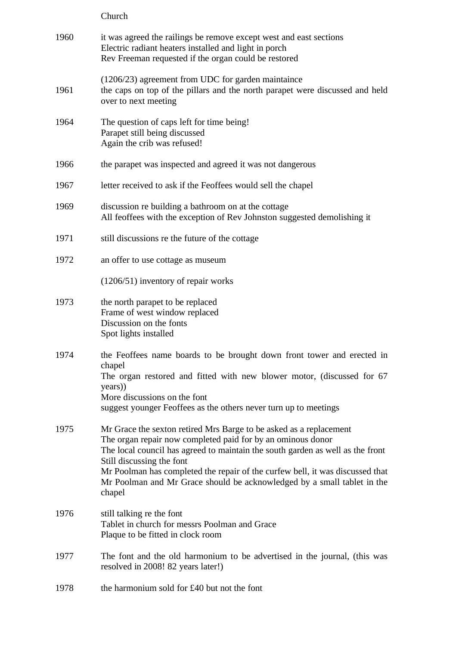Church

| 1960 | it was agreed the railings be remove except west and east sections<br>Electric radiant heaters installed and light in porch<br>Rev Freeman requested if the organ could be restored                                                                                                                                                                                                                                    |
|------|------------------------------------------------------------------------------------------------------------------------------------------------------------------------------------------------------------------------------------------------------------------------------------------------------------------------------------------------------------------------------------------------------------------------|
| 1961 | $(1206/23)$ agreement from UDC for garden maintaince<br>the caps on top of the pillars and the north parapet were discussed and held<br>over to next meeting                                                                                                                                                                                                                                                           |
| 1964 | The question of caps left for time being!<br>Parapet still being discussed<br>Again the crib was refused!                                                                                                                                                                                                                                                                                                              |
| 1966 | the parapet was inspected and agreed it was not dangerous                                                                                                                                                                                                                                                                                                                                                              |
| 1967 | letter received to ask if the Feoffees would sell the chapel                                                                                                                                                                                                                                                                                                                                                           |
| 1969 | discussion re building a bathroom on at the cottage<br>All feoffees with the exception of Rev Johnston suggested demolishing it                                                                                                                                                                                                                                                                                        |
| 1971 | still discussions re the future of the cottage                                                                                                                                                                                                                                                                                                                                                                         |
| 1972 | an offer to use cottage as museum                                                                                                                                                                                                                                                                                                                                                                                      |
|      | $(1206/51)$ inventory of repair works                                                                                                                                                                                                                                                                                                                                                                                  |
| 1973 | the north parapet to be replaced<br>Frame of west window replaced<br>Discussion on the fonts<br>Spot lights installed                                                                                                                                                                                                                                                                                                  |
| 1974 | the Feoffees name boards to be brought down front tower and erected in<br>chapel<br>The organ restored and fitted with new blower motor, (discussed for 67<br>years)<br>More discussions on the font<br>suggest younger Feoffees as the others never turn up to meetings                                                                                                                                               |
| 1975 | Mr Grace the sexton retired Mrs Barge to be asked as a replacement<br>The organ repair now completed paid for by an ominous donor<br>The local council has agreed to maintain the south garden as well as the front<br>Still discussing the font<br>Mr Poolman has completed the repair of the curfew bell, it was discussed that<br>Mr Poolman and Mr Grace should be acknowledged by a small tablet in the<br>chapel |
| 1976 | still talking re the font<br>Tablet in church for messrs Poolman and Grace<br>Plaque to be fitted in clock room                                                                                                                                                                                                                                                                                                        |
| 1977 | The font and the old harmonium to be advertised in the journal, (this was<br>resolved in 2008! 82 years later!)                                                                                                                                                                                                                                                                                                        |
| 1978 | the harmonium sold for £40 but not the font                                                                                                                                                                                                                                                                                                                                                                            |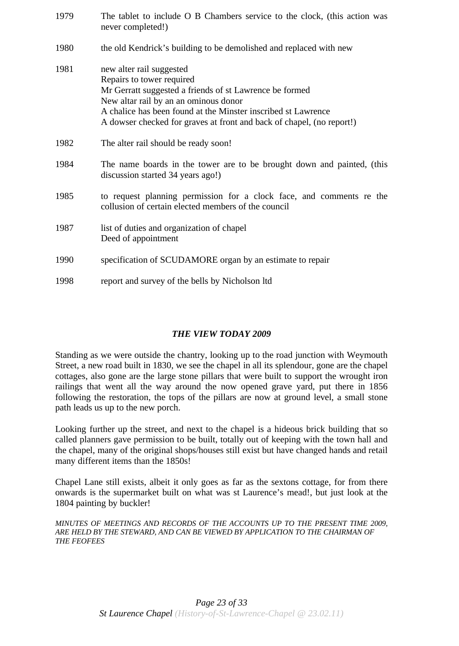| 1979 | The tablet to include O B Chambers service to the clock, (this action was<br>never completed!)                                                                                                                                                                                                      |
|------|-----------------------------------------------------------------------------------------------------------------------------------------------------------------------------------------------------------------------------------------------------------------------------------------------------|
| 1980 | the old Kendrick's building to be demolished and replaced with new                                                                                                                                                                                                                                  |
| 1981 | new alter rail suggested<br>Repairs to tower required<br>Mr Gerratt suggested a friends of st Lawrence be formed<br>New altar rail by an an ominous donor<br>A chalice has been found at the Minster inscribed st Lawrence<br>A dowser checked for graves at front and back of chapel, (no report!) |
| 1982 | The alter rail should be ready soon!                                                                                                                                                                                                                                                                |
| 1984 | The name boards in the tower are to be brought down and painted, (this<br>discussion started 34 years ago!)                                                                                                                                                                                         |
| 1985 | to request planning permission for a clock face, and comments re the<br>collusion of certain elected members of the council                                                                                                                                                                         |
| 1987 | list of duties and organization of chapel<br>Deed of appointment                                                                                                                                                                                                                                    |
| 1990 | specification of SCUDAMORE organ by an estimate to repair                                                                                                                                                                                                                                           |
| 1998 | report and survey of the bells by Nicholson ltd                                                                                                                                                                                                                                                     |

# *THE VIEW TODAY 2009*

Standing as we were outside the chantry, looking up to the road junction with Weymouth Street, a new road built in 1830, we see the chapel in all its splendour, gone are the chapel cottages, also gone are the large stone pillars that were built to support the wrought iron railings that went all the way around the now opened grave yard, put there in 1856 following the restoration, the tops of the pillars are now at ground level, a small stone path leads us up to the new porch.

Looking further up the street, and next to the chapel is a hideous brick building that so called planners gave permission to be built, totally out of keeping with the town hall and the chapel, many of the original shops/houses still exist but have changed hands and retail many different items than the 1850s!

Chapel Lane still exists, albeit it only goes as far as the sextons cottage, for from there onwards is the supermarket built on what was st Laurence's mead!, but just look at the 1804 painting by buckler!

*MINUTES OF MEETINGS AND RECORDS OF THE ACCOUNTS UP TO THE PRESENT TIME 2009, ARE HELD BY THE STEWARD, AND CAN BE VIEWED BY APPLICATION TO THE CHAIRMAN OF THE FEOFEES*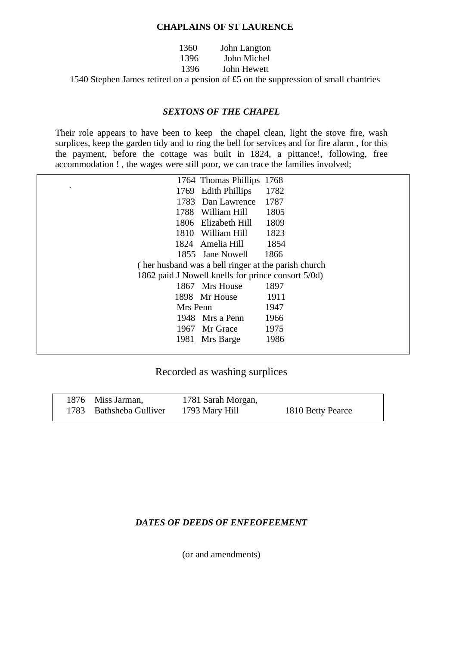#### **CHAPLAINS OF ST LAURENCE**

| 1360 | John Langton |
|------|--------------|
| 1396 | John Michel  |
| 1396 | John Hewett  |
|      |              |

1540 Stephen James retired on a pension of £5 on the suppression of small chantries

#### *SEXTONS OF THE CHAPEL*

Their role appears to have been to keep the chapel clean, light the stove fire, wash surplices, keep the garden tidy and to ring the bell for services and for fire alarm , for this the payment, before the cottage was built in 1824, a pittance!, following, free accommodation ! , the wages were still poor, we can trace the families involved;

|                   | 1764 Thomas Phillips                                | 1768 |
|-------------------|-----------------------------------------------------|------|
| $\bullet$<br>1769 | <b>Edith Phillips</b>                               | 1782 |
|                   | 1783 Dan Lawrence                                   | 1787 |
| 1788              | William Hill                                        | 1805 |
|                   | 1806 Elizabeth Hill                                 | 1809 |
| 1810              | William Hill                                        | 1823 |
|                   | 1824 Amelia Hill                                    | 1854 |
|                   | 1855 Jane Nowell                                    | 1866 |
|                   | (her husband was a bell ringer at the parish church |      |
|                   | 1862 paid J Nowell knells for prince consort 5/0d)  |      |
|                   | 1867 Mrs House                                      | 1897 |
|                   | 1898 Mr House                                       | 1911 |
| Mrs Penn          |                                                     | 1947 |
|                   | 1948 Mrs a Penn                                     | 1966 |
|                   | 1967 Mr Grace                                       | 1975 |
| 1981              | Mrs Barge                                           | 1986 |
|                   |                                                     |      |

# Recorded as washing surplices

| 1876 Miss Jarman,       | 1781 Sarah Morgan, |                   |
|-------------------------|--------------------|-------------------|
| 1783 Bathsheba Gulliver | 1793 Mary Hill     | 1810 Betty Pearce |

#### *DATES OF DEEDS OF ENFEOFEEMENT*

(or and amendments)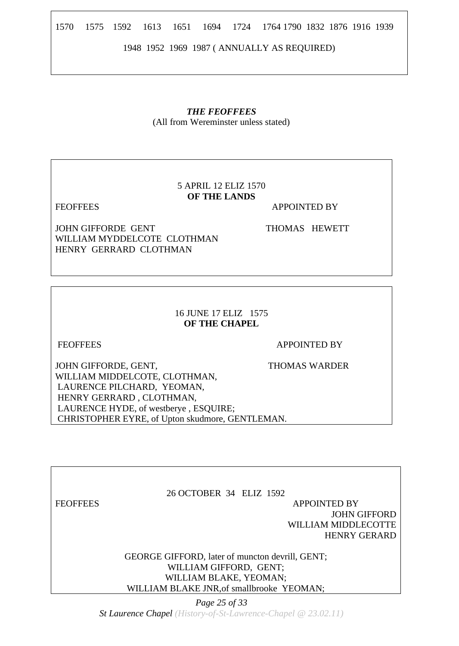1570 1575 1592 1613 1651 1694 1724 1764 1790 1832 1876 1916 1939

1948 1952 1969 1987 ( ANNUALLY AS REQUIRED)

# *THE FEOFFEES*

(All from Wereminster unless stated)

# 5 APRIL 12 ELIZ 1570 **OF THE LANDS**

FEOFFEES APPOINTED BY

JOHN GIFFORDE GENT THOMAS HEWETT WILLIAM MYDDELCOTE CLOTHMAN HENRY GERRARD CLOTHMAN

16 JUNE 17 ELIZ 1575 **OF THE CHAPEL** 

FEOFFEES APPOINTED BY

JOHN GIFFORDE, GENT, THOMAS WARDER WILLIAM MIDDELCOTE, CLOTHMAN, LAURENCE PILCHARD, YEOMAN, HENRY GERRARD , CLOTHMAN, LAURENCE HYDE, of westberye, ESOUIRE; CHRISTOPHER EYRE, of Upton skudmore, GENTLEMAN.

26 OCTOBER 34 ELIZ 1592 FEOFFEES APPOINTED BY JOHN GIFFORD WILLIAM MIDDLECOTTE HENRY GERARD

> GEORGE GIFFORD, later of muncton devrill, GENT; WILLIAM GIFFORD, GENT; WILLIAM BLAKE, YEOMAN; WILLIAM BLAKE JNR,of smallbrooke YEOMAN;

> > *Page 25 of 33*

*St Laurence Chapel (History-of-St-Lawrence-Chapel @ 23.02.11)*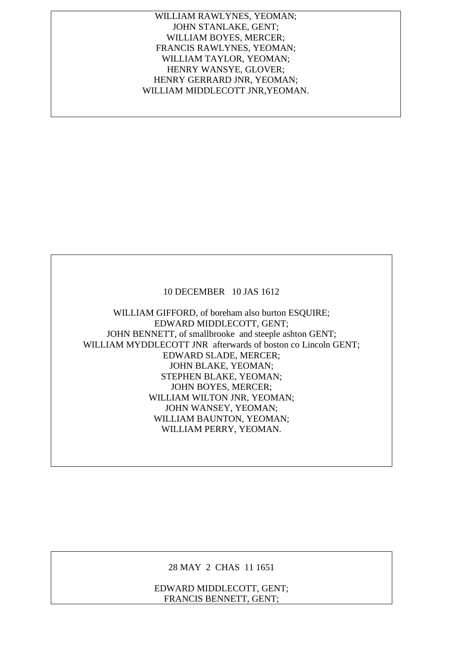WILLIAM RAWLYNES, YEOMAN; JOHN STANLAKE, GENT; WILLIAM BOYES, MERCER; FRANCIS RAWLYNES, YEOMAN; WILLIAM TAYLOR, YEOMAN; HENRY WANSYE, GLOVER; HENRY GERRARD JNR, YEOMAN; WILLIAM MIDDLECOTT JNR,YEOMAN.

#### 10 DECEMBER 10 JAS 1612

WILLIAM GIFFORD, of boreham also burton ESQUIRE; EDWARD MIDDLECOTT, GENT; JOHN BENNETT, of smallbrooke and steeple ashton GENT; WILLIAM MYDDLECOTT JNR afterwards of boston co Lincoln GENT; EDWARD SLADE, MERCER; JOHN BLAKE, YEOMAN; STEPHEN BLAKE, YEOMAN; JOHN BOYES, MERCER; WILLIAM WILTON JNR, YEOMAN; JOHN WANSEY, YEOMAN; WILLIAM BAUNTON, YEOMAN; WILLIAM PERRY, YEOMAN.

28 MAY 2 CHAS 11 1651

EDWARD MIDDLECOTT, GENT; FRANCIS BENNETT, GENT;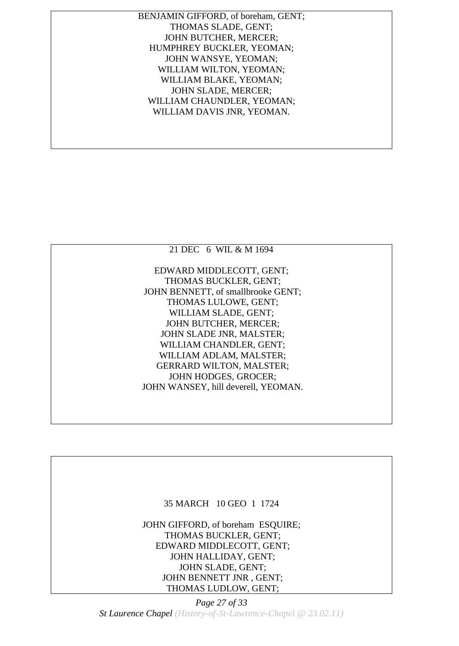BENJAMIN GIFFORD, of boreham, GENT; THOMAS SLADE, GENT; JOHN BUTCHER, MERCER; HUMPHREY BUCKLER, YEOMAN; JOHN WANSYE, YEOMAN; WILLIAM WILTON, YEOMAN; WILLIAM BLAKE, YEOMAN; JOHN SLADE, MERCER; WILLIAM CHAUNDLER, YEOMAN; WILLIAM DAVIS JNR, YEOMAN.

![](_page_26_Picture_1.jpeg)

#### 35 MARCH 10 GEO 1 1724

JOHN GIFFORD, of boreham ESQUIRE; THOMAS BUCKLER, GENT; EDWARD MIDDLECOTT, GENT; JOHN HALLIDAY, GENT; JOHN SLADE, GENT; JOHN BENNETT JNR , GENT; THOMAS LUDLOW, GENT;

*Page 27 of 33 St Laurence Chapel (History-of-St-Lawrence-Chapel @ 23.02.11)*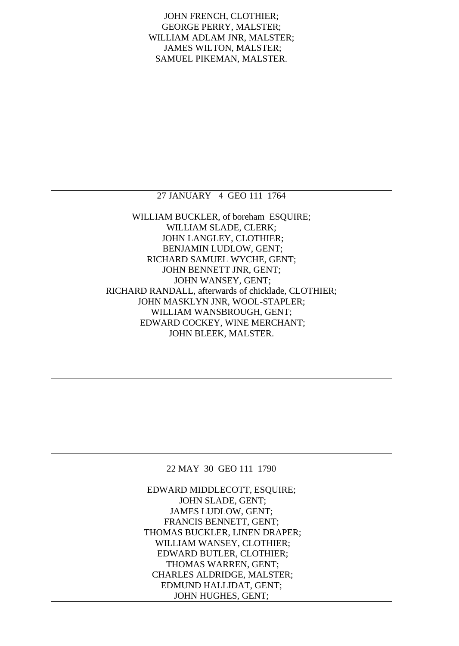## JOHN FRENCH, CLOTHIER; GEORGE PERRY, MALSTER; WILLIAM ADLAM JNR, MALSTER; JAMES WILTON, MALSTER; SAMUEL PIKEMAN, MALSTER.

# 27 JANUARY 4 GEO 111 1764

WILLIAM BUCKLER, of boreham ESQUIRE; WILLIAM SLADE, CLERK; JOHN LANGLEY, CLOTHIER; BENJAMIN LUDLOW, GENT; RICHARD SAMUEL WYCHE, GENT; JOHN BENNETT JNR, GENT; JOHN WANSEY, GENT; RICHARD RANDALL, afterwards of chicklade, CLOTHIER; JOHN MASKLYN JNR, WOOL-STAPLER; WILLIAM WANSBROUGH, GENT; EDWARD COCKEY, WINE MERCHANT; JOHN BLEEK, MALSTER.

## 22 MAY 30 GEO 111 1790

EDWARD MIDDLECOTT, ESQUIRE; JOHN SLADE, GENT; JAMES LUDLOW, GENT; FRANCIS BENNETT, GENT; THOMAS BUCKLER, LINEN DRAPER; WILLIAM WANSEY, CLOTHIER; EDWARD BUTLER, CLOTHIER; THOMAS WARREN, GENT; CHARLES ALDRIDGE, MALSTER; EDMUND HALLIDAT, GENT; JOHN HUGHES, GENT;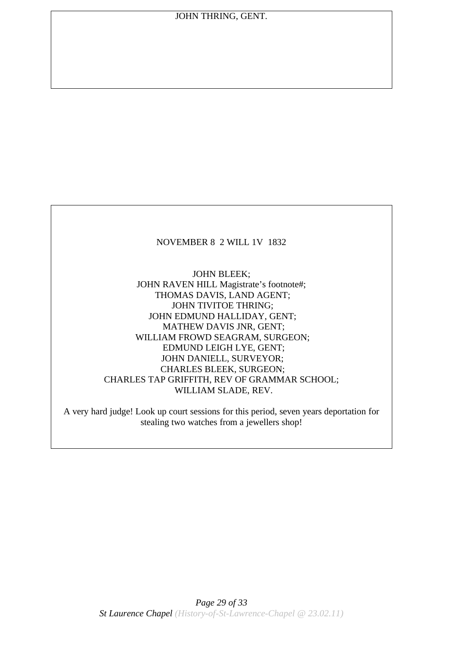## NOVEMBER 8 2 WILL 1V 1832

JOHN BLEEK; JOHN RAVEN HILL Magistrate's footnote#; THOMAS DAVIS, LAND AGENT; JOHN TIVITOE THRING; JOHN EDMUND HALLIDAY, GENT; MATHEW DAVIS JNR, GENT; WILLIAM FROWD SEAGRAM, SURGEON; EDMUND LEIGH LYE, GENT; JOHN DANIELL, SURVEYOR; CHARLES BLEEK, SURGEON; CHARLES TAP GRIFFITH, REV OF GRAMMAR SCHOOL; WILLIAM SLADE, REV.

A very hard judge! Look up court sessions for this period, seven years deportation for stealing two watches from a jewellers shop!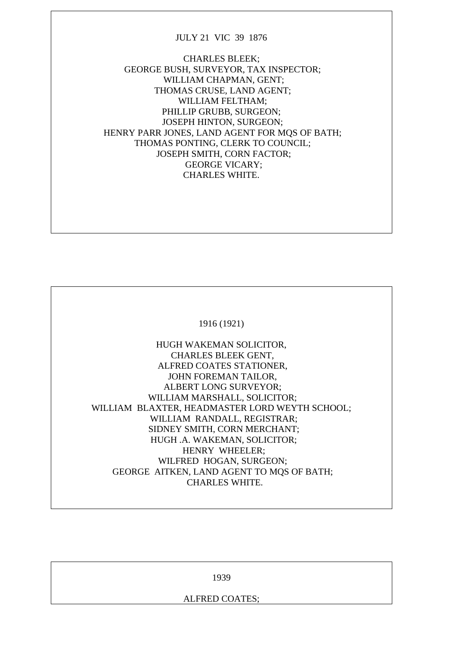#### JULY 21 VIC 39 1876

CHARLES BLEEK; GEORGE BUSH, SURVEYOR, TAX INSPECTOR; WILLIAM CHAPMAN, GENT; THOMAS CRUSE, LAND AGENT; WILLIAM FELTHAM; PHILLIP GRUBB, SURGEON; JOSEPH HINTON, SURGEON; HENRY PARR JONES, LAND AGENT FOR MOS OF BATH; THOMAS PONTING, CLERK TO COUNCIL; JOSEPH SMITH, CORN FACTOR; GEORGE VICARY; CHARLES WHITE.

![](_page_29_Picture_2.jpeg)

HUGH WAKEMAN SOLICITOR, CHARLES BLEEK GENT, ALFRED COATES STATIONER, JOHN FOREMAN TAILOR, ALBERT LONG SURVEYOR; WILLIAM MARSHALL, SOLICITOR; WILLIAM BLAXTER, HEADMASTER LORD WEYTH SCHOOL; WILLIAM RANDALL, REGISTRAR; SIDNEY SMITH, CORN MERCHANT; HUGH .A. WAKEMAN, SOLICITOR; HENRY WHEELER; WILFRED HOGAN, SURGEON; GEORGE AITKEN, LAND AGENT TO MQS OF BATH; CHARLES WHITE.

| 1939           |  |
|----------------|--|
| ALFRED COATES; |  |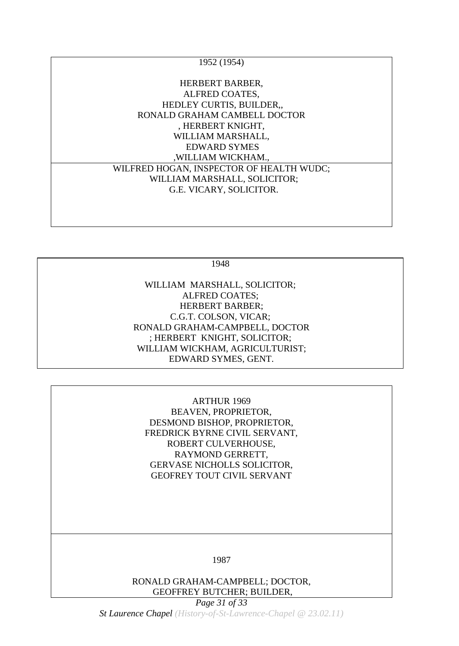| 1952 (1954)                              |  |
|------------------------------------------|--|
| HERBERT BARBER,                          |  |
| ALFRED COATES,                           |  |
| HEDLEY CURTIS, BUILDER,                  |  |
| RONALD GRAHAM CAMBELL DOCTOR             |  |
| , HERBERT KNIGHT,                        |  |
| WILLIAM MARSHALL,                        |  |
| <b>EDWARD SYMES</b>                      |  |
| , WILLIAM WICKHAM.,                      |  |
| WILFRED HOGAN, INSPECTOR OF HEALTH WUDC; |  |
| WILLIAM MARSHALL, SOLICITOR;             |  |
| G.E. VICARY, SOLICITOR.                  |  |
|                                          |  |
|                                          |  |

1948

WILLIAM MARSHALL, SOLICITOR; ALFRED COATES; HERBERT BARBER; C.G.T. COLSON, VICAR; RONALD GRAHAM-CAMPBELL, DOCTOR ; HERBERT KNIGHT, SOLICITOR; WILLIAM WICKHAM, AGRICULTURIST; EDWARD SYMES, GENT.

,

ARTHUR 1969 BEAVEN, PROPRIETOR, DESMOND BISHOP, PROPRIETOR, FREDRICK BYRNE CIVIL SERVANT, ROBERT CULVERHOUSE, RAYMOND GERRETT, GERVASE NICHOLLS SOLICITOR, GEOFREY TOUT CIVIL SERVANT

1987

RONALD GRAHAM-CAMPBELL; DOCTOR, GEOFFREY BUTCHER; BUILDER,

*Page 31 of 33*

*St Laurence Chapel (History-of-St-Lawrence-Chapel @ 23.02.11)*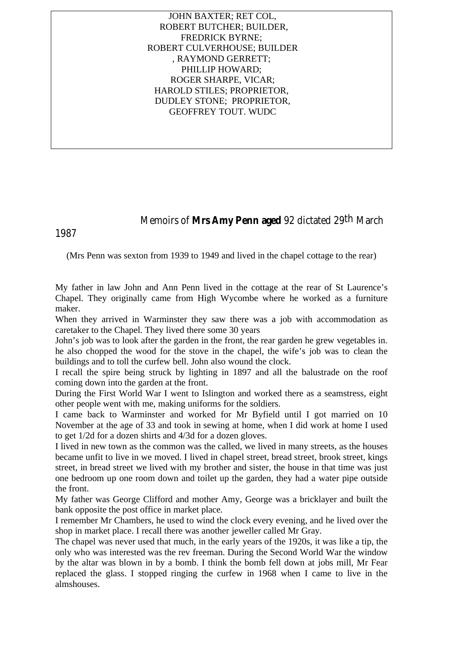JOHN BAXTER; RET COL, ROBERT BUTCHER; BUILDER, FREDRICK BYRNE; ROBERT CULVERHOUSE; BUILDER , RAYMOND GERRETT; PHILLIP HOWARD; ROGER SHARPE, VICAR; HAROLD STILES; PROPRIETOR, DUDLEY STONE; PROPRIETOR, GEOFFREY TOUT. WUDC

Memoirs of **Mrs Amy Penn aged** 92 dictated 29th March

1987

(Mrs Penn was sexton from 1939 to 1949 and lived in the chapel cottage to the rear)

My father in law John and Ann Penn lived in the cottage at the rear of St Laurence's Chapel. They originally came from High Wycombe where he worked as a furniture maker.

When they arrived in Warminster they saw there was a job with accommodation as caretaker to the Chapel. They lived there some 30 years

John's job was to look after the garden in the front, the rear garden he grew vegetables in. he also chopped the wood for the stove in the chapel, the wife's job was to clean the buildings and to toll the curfew bell. John also wound the clock.

I recall the spire being struck by lighting in 1897 and all the balustrade on the roof coming down into the garden at the front.

During the First World War I went to Islington and worked there as a seamstress, eight other people went with me, making uniforms for the soldiers.

I came back to Warminster and worked for Mr Byfield until I got married on 10 November at the age of 33 and took in sewing at home, when I did work at home I used to get 1/2d for a dozen shirts and 4/3d for a dozen gloves.

I lived in new town as the common was the called, we lived in many streets, as the houses became unfit to live in we moved. I lived in chapel street, bread street, brook street, kings street, in bread street we lived with my brother and sister, the house in that time was just one bedroom up one room down and toilet up the garden, they had a water pipe outside the front.

My father was George Clifford and mother Amy, George was a bricklayer and built the bank opposite the post office in market place.

I remember Mr Chambers, he used to wind the clock every evening, and he lived over the shop in market place. I recall there was another jeweller called Mr Gray.

The chapel was never used that much, in the early years of the 1920s, it was like a tip, the only who was interested was the rev freeman. During the Second World War the window by the altar was blown in by a bomb. I think the bomb fell down at jobs mill, Mr Fear replaced the glass. I stopped ringing the curfew in 1968 when I came to live in the almshouses.